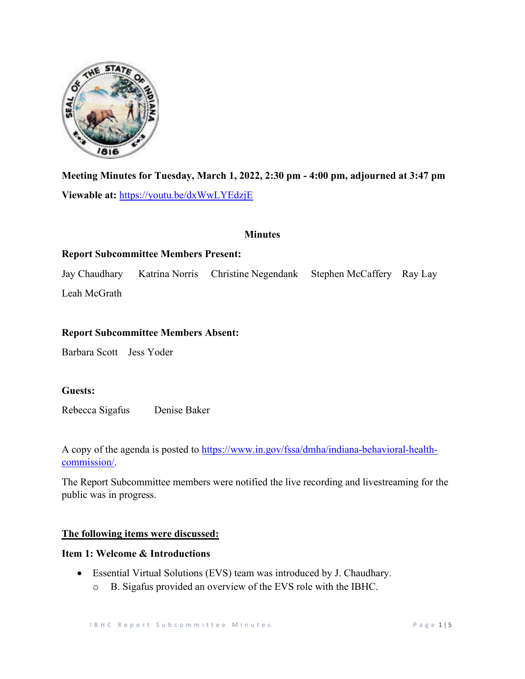

**Meeting Minutes for Tuesday, March 1, 2022, 2:30 pm - 4:00 pm, adjourned at 3:47 pm Viewable at:** [https://youtu.be/dxWwLYEdzjE](https://us-west-2.protection.sophos.com/?d=youtu.be&u=aHR0cHM6Ly95b3V0dS5iZS9keFd3TFlFZHpqRQ==&i=NWE5NWE3YTUzMzY0MTExMmU1MTk2NGFk&t=cW9OMU9jdkwwdDBGK25ac2ZaY0F2M00rTVIvTHoxR0NXRHgrWVkyMDZtST0=&h=7261733eca01405da909570b7cf63716) 

#### **Minutes**

# **Report Subcommittee Members Present:**

Jay Chaudhary Katrina Norris Christine Negendank Stephen McCaffery Ray Lay Leah McGrath

#### **Report Subcommittee Members Absent:**

Barbara Scott Jess Yoder

#### **Guests:**

Rebecca Sigafus Denise Baker

A copy of the agenda is posted to [https://www.in.gov/fssa/dmha/indiana-behavioral-health](https://www.in.gov/fssa/dmha/indiana-behavioral-health-commission/)[commission/.](https://www.in.gov/fssa/dmha/indiana-behavioral-health-commission/)

The Report Subcommittee members were notified the live recording and livestreaming for the public was in progress.

# **The following items were discussed:**

## **Item 1: Welcome & Introductions**

• Essential Virtual Solutions (EVS) team was introduced by J. Chaudhary. o B. Sigafus provided an overview of the EVS role with the IBHC.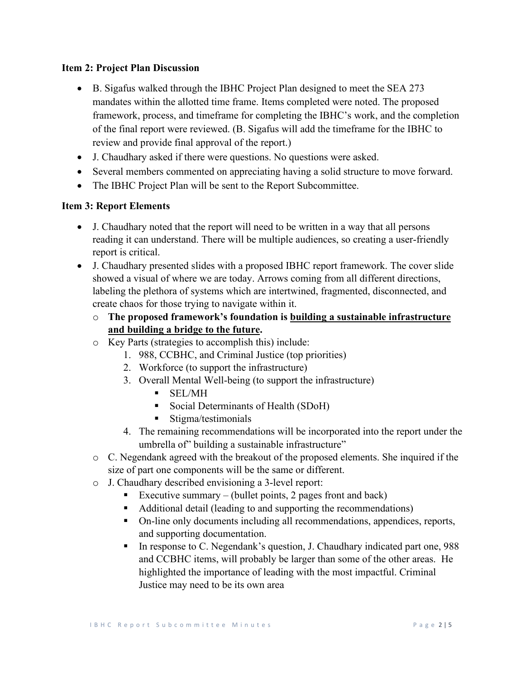# **Item 2: Project Plan Discussion**

- B. Sigafus walked through the IBHC Project Plan designed to meet the SEA 273 mandates within the allotted time frame. Items completed were noted. The proposed framework, process, and timeframe for completing the IBHC's work, and the completion of the final report were reviewed. (B. Sigafus will add the timeframe for the IBHC to review and provide final approval of the report.)
- J. Chaudhary asked if there were questions. No questions were asked.
- Several members commented on appreciating having a solid structure to move forward.
- The IBHC Project Plan will be sent to the Report Subcommittee.

#### **Item 3: Report Elements**

- J. Chaudhary noted that the report will need to be written in a way that all persons reading it can understand. There will be multiple audiences, so creating a user-friendly report is critical.
- J. Chaudhary presented slides with a proposed IBHC report framework. The cover slide showed a visual of where we are today. Arrows coming from all different directions, labeling the plethora of systems which are intertwined, fragmented, disconnected, and create chaos for those trying to navigate within it.
	- o **The proposed framework's foundation is building a sustainable infrastructure and building a bridge to the future.**
	- o Key Parts (strategies to accomplish this) include:
		- 1. 988, CCBHC, and Criminal Justice (top priorities)
		- 2. Workforce (to support the infrastructure)
		- 3. Overall Mental Well-being (to support the infrastructure)
			- SEL/MH
			- Social Determinants of Health (SDoH)
			- **Stigma/testimonials**
		- 4. The remaining recommendations will be incorporated into the report under the umbrella of" building a sustainable infrastructure"
	- o C. Negendank agreed with the breakout of the proposed elements. She inquired if the size of part one components will be the same or different.
	- o J. Chaudhary described envisioning a 3-level report:
		- Executive summary (bullet points, 2 pages front and back)
		- Additional detail (leading to and supporting the recommendations)
		- On-line only documents including all recommendations, appendices, reports, and supporting documentation.
		- In response to C. Negendank's question, J. Chaudhary indicated part one, 988 and CCBHC items, will probably be larger than some of the other areas. He highlighted the importance of leading with the most impactful. Criminal Justice may need to be its own area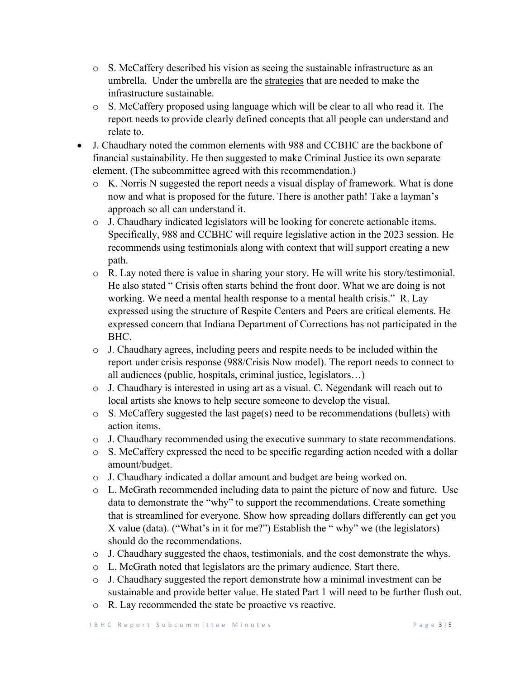- o S. McCaffery described his vision as seeing the sustainable infrastructure as an umbrella. Under the umbrella are the strategies that are needed to make the infrastructure sustainable.
- o S. McCaffery proposed using language which will be clear to all who read it. The report needs to provide clearly defined concepts that all people can understand and relate to.
- J. Chaudhary noted the common elements with 988 and CCBHC are the backbone of financial sustainability. He then suggested to make Criminal Justice its own separate element. (The subcommittee agreed with this recommendation.)
	- o K. Norris N suggested the report needs a visual display of framework. What is done now and what is proposed for the future. There is another path! Take a layman's approach so all can understand it.
	- o J. Chaudhary indicated legislators will be looking for concrete actionable items. Specifically, 988 and CCBHC will require legislative action in the 2023 session. He recommends using testimonials along with context that will support creating a new path.
	- o R. Lay noted there is value in sharing your story. He will write his story/testimonial. He also stated " Crisis often starts behind the front door. What we are doing is not working. We need a mental health response to a mental health crisis." R. Lay expressed using the structure of Respite Centers and Peers are critical elements. He expressed concern that Indiana Department of Corrections has not participated in the BHC.
	- o J. Chaudhary agrees, including peers and respite needs to be included within the report under crisis response (988/Crisis Now model). The report needs to connect to all audiences (public, hospitals, criminal justice, legislators…)
	- o J. Chaudhary is interested in using art as a visual. C. Negendank will reach out to local artists she knows to help secure someone to develop the visual.
	- o S. McCaffery suggested the last page(s) need to be recommendations (bullets) with action items.
	- o J. Chaudhary recommended using the executive summary to state recommendations.
	- o S. McCaffery expressed the need to be specific regarding action needed with a dollar amount/budget.
	- o J. Chaudhary indicated a dollar amount and budget are being worked on.
	- o L. McGrath recommended including data to paint the picture of now and future. Use data to demonstrate the "why" to support the recommendations. Create something that is streamlined for everyone. Show how spreading dollars differently can get you X value (data). ("What's in it for me?") Establish the " why" we (the legislators) should do the recommendations.
	- $\circ$  J. Chaudhary suggested the chaos, testimonials, and the cost demonstrate the whys.
	- o L. McGrath noted that legislators are the primary audience. Start there.
	- o J. Chaudhary suggested the report demonstrate how a minimal investment can be sustainable and provide better value. He stated Part 1 will need to be further flush out.
	- o R. Lay recommended the state be proactive vs reactive.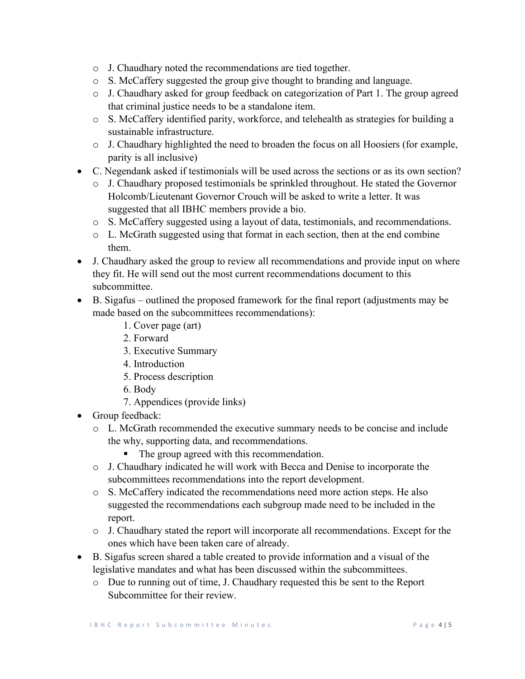- o J. Chaudhary noted the recommendations are tied together.
- o S. McCaffery suggested the group give thought to branding and language.
- o J. Chaudhary asked for group feedback on categorization of Part 1. The group agreed that criminal justice needs to be a standalone item.
- o S. McCaffery identified parity, workforce, and telehealth as strategies for building a sustainable infrastructure.
- o J. Chaudhary highlighted the need to broaden the focus on all Hoosiers (for example, parity is all inclusive)
- C. Negendank asked if testimonials will be used across the sections or as its own section?
	- o J. Chaudhary proposed testimonials be sprinkled throughout. He stated the Governor Holcomb/Lieutenant Governor Crouch will be asked to write a letter. It was suggested that all IBHC members provide a bio.
	- o S. McCaffery suggested using a layout of data, testimonials, and recommendations.
	- o L. McGrath suggested using that format in each section, then at the end combine them.
- J. Chaudhary asked the group to review all recommendations and provide input on where they fit. He will send out the most current recommendations document to this subcommittee.
- B. Sigafus outlined the proposed framework for the final report (adjustments may be made based on the subcommittees recommendations):
	- 1. Cover page (art)
	- 2. Forward
	- 3. Executive Summary
	- 4. Introduction
	- 5. Process description
	- 6. Body
	- 7. Appendices (provide links)
- Group feedback:
	- o L. McGrath recommended the executive summary needs to be concise and include the why, supporting data, and recommendations.
		- The group agreed with this recommendation.
	- o J. Chaudhary indicated he will work with Becca and Denise to incorporate the subcommittees recommendations into the report development.
	- o S. McCaffery indicated the recommendations need more action steps. He also suggested the recommendations each subgroup made need to be included in the report.
	- o J. Chaudhary stated the report will incorporate all recommendations. Except for the ones which have been taken care of already.
- B. Sigafus screen shared a table created to provide information and a visual of the legislative mandates and what has been discussed within the subcommittees.
	- o Due to running out of time, J. Chaudhary requested this be sent to the Report Subcommittee for their review.